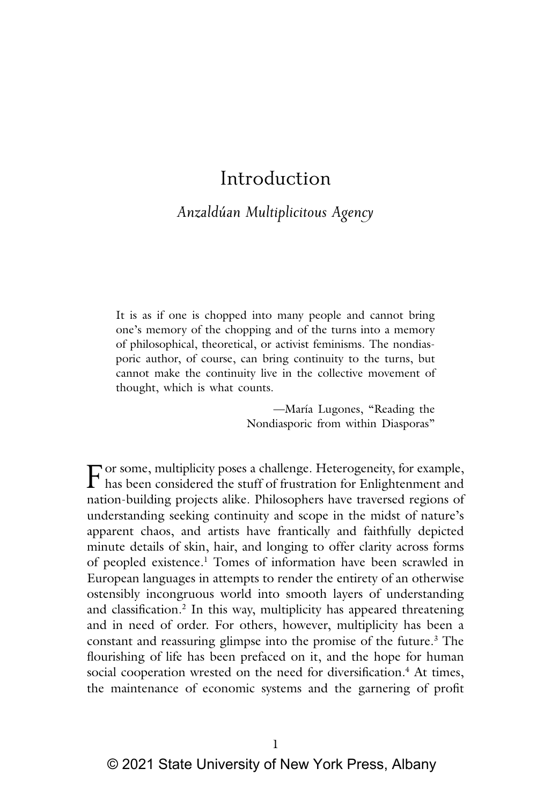# Introduction

# *Anzaldúan Multiplicitous Agency*

It is as if one is chopped into many people and cannot bring one's memory of the chopping and of the turns into a memory of philosophical, theoretical, or activist feminisms. The nondiasporic author, of course, can bring continuity to the turns, but cannot make the continuity live in the collective movement of thought, which is what counts.

> —María Lugones, "Reading the Nondiasporic from within Diasporas"

For some, multiplicity poses a challenge. Heterogeneity, for example, has been considered the stuff of frustration for Enlightenment and nation building projects elike. Philosophem have toward against of nation-building projects alike. Philosophers have traversed regions of understanding seeking continuity and scope in the midst of nature's apparent chaos, and artists have frantically and faithfully depicted minute details of skin, hair, and longing to offer clarity across forms of peopled existence.<sup>1</sup> Tomes of information have been scrawled in European languages in attempts to render the entirety of an otherwise ostensibly incongruous world into smooth layers of understanding and classification.<sup>2</sup> In this way, multiplicity has appeared threatening and in need of order. For others, however, multiplicity has been a constant and reassuring glimpse into the promise of the future.<sup>3</sup> The flourishing of life has been prefaced on it, and the hope for human social cooperation wrested on the need for diversification.<sup>4</sup> At times, the maintenance of economic systems and the garnering of profit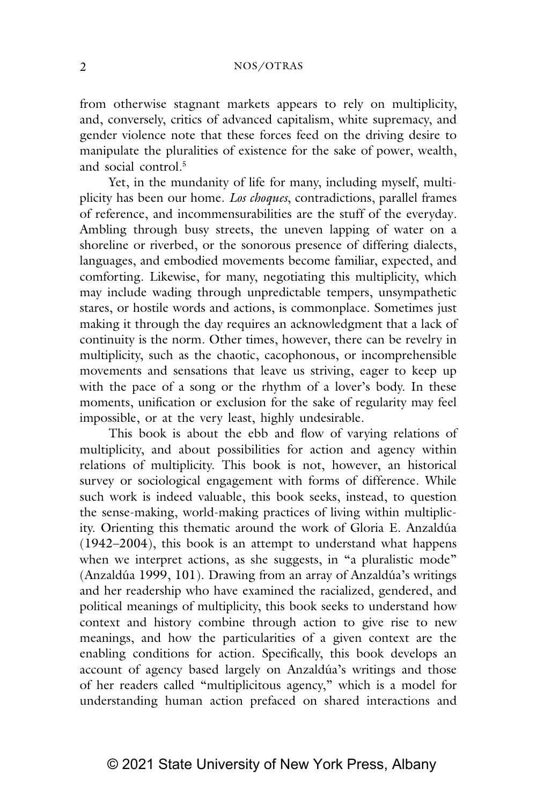# 2 NOS/OTRAS

from otherwise stagnant markets appears to rely on multiplicity, and, conversely, critics of advanced capitalism, white supremacy, and gender violence note that these forces feed on the driving desire to manipulate the pluralities of existence for the sake of power, wealth, and social control.5

Yet, in the mundanity of life for many, including myself, multiplicity has been our home. *Los choques*, contradictions, parallel frames of reference, and incommensurabilities are the stuff of the everyday*.* Ambling through busy streets, the uneven lapping of water on a shoreline or riverbed, or the sonorous presence of differing dialects, languages, and embodied movements become familiar, expected, and comforting. Likewise, for many, negotiating this multiplicity, which may include wading through unpredictable tempers, unsympathetic stares, or hostile words and actions, is commonplace. Sometimes just making it through the day requires an acknowledgment that a lack of continuity is the norm. Other times, however, there can be revelry in multiplicity, such as the chaotic, cacophonous, or incomprehensible movements and sensations that leave us striving, eager to keep up with the pace of a song or the rhythm of a lover's body. In these moments, unification or exclusion for the sake of regularity may feel impossible, or at the very least, highly undesirable.

This book is about the ebb and flow of varying relations of multiplicity, and about possibilities for action and agency within relations of multiplicity. This book is not, however, an historical survey or sociological engagement with forms of difference. While such work is indeed valuable, this book seeks, instead, to question the sense-making, world-making practices of living within multiplicity. Orienting this thematic around the work of Gloria E. Anzaldúa (1942–2004), this book is an attempt to understand what happens when we interpret actions, as she suggests, in "a pluralistic mode" (Anzaldúa 1999, 101). Drawing from an array of Anzaldúa's writings and her readership who have examined the racialized, gendered, and political meanings of multiplicity, this book seeks to understand how context and history combine through action to give rise to new meanings, and how the particularities of a given context are the enabling conditions for action. Specifically, this book develops an account of agency based largely on Anzaldúa's writings and those of her readers called "multiplicitous agency," which is a model for understanding human action prefaced on shared interactions and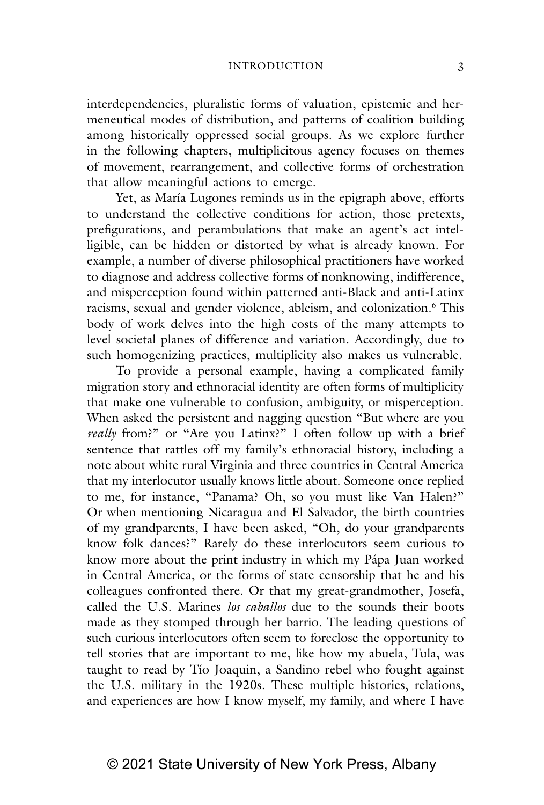interdependencies, pluralistic forms of valuation, epistemic and hermeneutical modes of distribution, and patterns of coalition building among historically oppressed social groups. As we explore further in the following chapters, multiplicitous agency focuses on themes of movement, rearrangement, and collective forms of orchestration that allow meaningful actions to emerge.

Yet, as María Lugones reminds us in the epigraph above, efforts to understand the collective conditions for action, those pretexts, prefigurations, and perambulations that make an agent's act intelligible, can be hidden or distorted by what is already known. For example, a number of diverse philosophical practitioners have worked to diagnose and address collective forms of nonknowing, indifference, and misperception found within patterned anti-Black and anti-Latinx racisms, sexual and gender violence, ableism, and colonization.<sup>6</sup> This body of work delves into the high costs of the many attempts to level societal planes of difference and variation. Accordingly, due to such homogenizing practices, multiplicity also makes us vulnerable.

To provide a personal example, having a complicated family migration story and ethnoracial identity are often forms of multiplicity that make one vulnerable to confusion, ambiguity, or misperception. When asked the persistent and nagging question "But where are you *really* from?" or "Are you Latinx?" I often follow up with a brief sentence that rattles off my family's ethnoracial history, including a note about white rural Virginia and three countries in Central America that my interlocutor usually knows little about. Someone once replied to me, for instance, "Panama? Oh, so you must like Van Halen?" Or when mentioning Nicaragua and El Salvador, the birth countries of my grandparents, I have been asked, "Oh, do your grandparents know folk dances?" Rarely do these interlocutors seem curious to know more about the print industry in which my Pápa Juan worked in Central America, or the forms of state censorship that he and his colleagues confronted there. Or that my great-grandmother, Josefa, called the U.S. Marines *los caballos* due to the sounds their boots made as they stomped through her barrio. The leading questions of such curious interlocutors often seem to foreclose the opportunity to tell stories that are important to me, like how my abuela, Tula, was taught to read by Tío Joaquin, a Sandino rebel who fought against the U.S. military in the 1920s. These multiple histories, relations, and experiences are how I know myself, my family, and where I have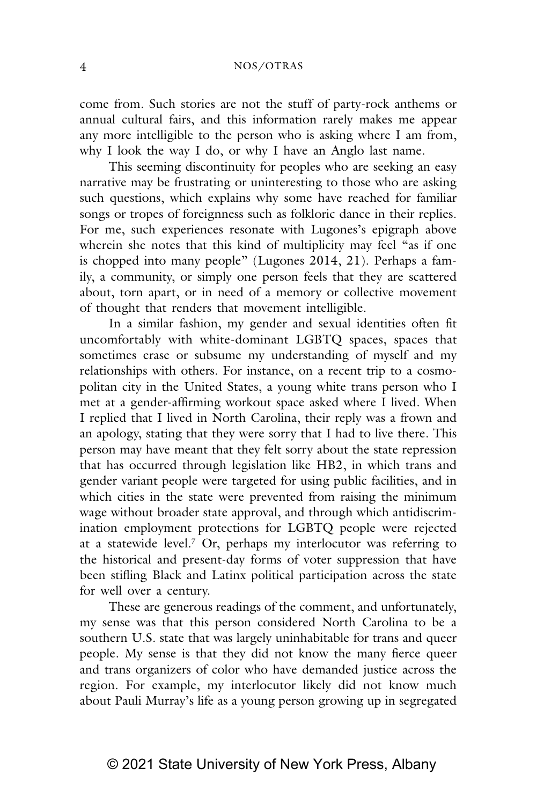come from. Such stories are not the stuff of party-rock anthems or annual cultural fairs, and this information rarely makes me appear any more intelligible to the person who is asking where I am from, why I look the way I do, or why I have an Anglo last name.

This seeming discontinuity for peoples who are seeking an easy narrative may be frustrating or uninteresting to those who are asking such questions, which explains why some have reached for familiar songs or tropes of foreignness such as folkloric dance in their replies. For me, such experiences resonate with Lugones's epigraph above wherein she notes that this kind of multiplicity may feel "as if one is chopped into many people" (Lugones 2014, 21). Perhaps a family, a community, or simply one person feels that they are scattered about, torn apart, or in need of a memory or collective movement of thought that renders that movement intelligible.

In a similar fashion, my gender and sexual identities often fit uncomfortably with white-dominant LGBTQ spaces, spaces that sometimes erase or subsume my understanding of myself and my relationships with others. For instance, on a recent trip to a cosmopolitan city in the United States, a young white trans person who I met at a gender-affirming workout space asked where I lived. When I replied that I lived in North Carolina, their reply was a frown and an apology, stating that they were sorry that I had to live there. This person may have meant that they felt sorry about the state repression that has occurred through legislation like HB2, in which trans and gender variant people were targeted for using public facilities, and in which cities in the state were prevented from raising the minimum wage without broader state approval, and through which antidiscrimination employment protections for LGBTQ people were rejected at a statewide level.<sup>7</sup> Or, perhaps my interlocutor was referring to the historical and present-day forms of voter suppression that have been stifling Black and Latinx political participation across the state for well over a century.

These are generous readings of the comment, and unfortunately, my sense was that this person considered North Carolina to be a southern U.S. state that was largely uninhabitable for trans and queer people. My sense is that they did not know the many fierce queer and trans organizers of color who have demanded justice across the region. For example, my interlocutor likely did not know much about Pauli Murray's life as a young person growing up in segregated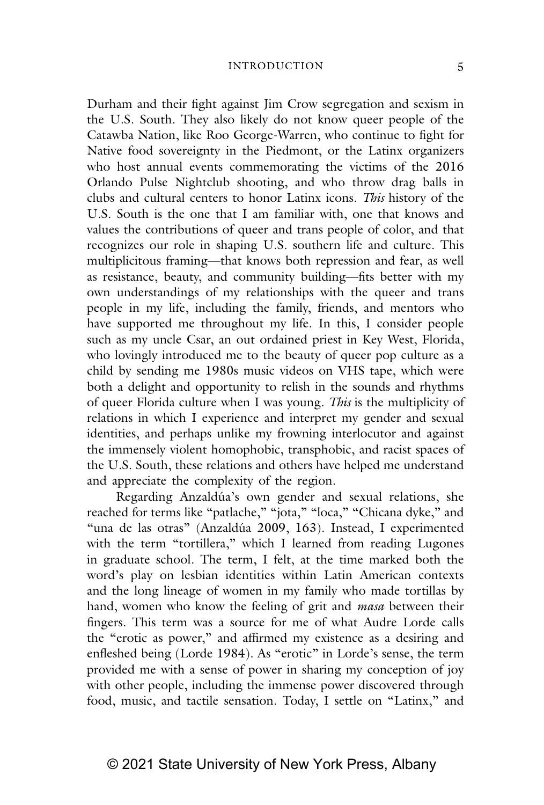#### INTRODUCTION 5

Durham and their fight against Jim Crow segregation and sexism in the U.S. South. They also likely do not know queer people of the Catawba Nation, like Roo George-Warren, who continue to fight for Native food sovereignty in the Piedmont, or the Latinx organizers who host annual events commemorating the victims of the 2016 Orlando Pulse Nightclub shooting, and who throw drag balls in clubs and cultural centers to honor Latinx icons. *This* history of the U.S. South is the one that I am familiar with, one that knows and values the contributions of queer and trans people of color, and that recognizes our role in shaping U.S. southern life and culture. This multiplicitous framing—that knows both repression and fear, as well as resistance, beauty, and community building—fits better with my own understandings of my relationships with the queer and trans people in my life, including the family, friends, and mentors who have supported me throughout my life. In this, I consider people such as my uncle Csar, an out ordained priest in Key West, Florida, who lovingly introduced me to the beauty of queer pop culture as a child by sending me 1980s music videos on VHS tape, which were both a delight and opportunity to relish in the sounds and rhythms of queer Florida culture when I was young. *This* is the multiplicity of relations in which I experience and interpret my gender and sexual identities, and perhaps unlike my frowning interlocutor and against the immensely violent homophobic, transphobic, and racist spaces of the U.S. South, these relations and others have helped me understand and appreciate the complexity of the region.

Regarding Anzaldúa's own gender and sexual relations, she reached for terms like "patlache," "jota," "loca," "Chicana dyke," and "una de las otras" (Anzaldúa 2009, 163). Instead, I experimented with the term "tortillera," which I learned from reading Lugones in graduate school. The term, I felt, at the time marked both the word's play on lesbian identities within Latin American contexts and the long lineage of women in my family who made tortillas by hand, women who know the feeling of grit and *masa* between their fingers. This term was a source for me of what Audre Lorde calls the "erotic as power," and affirmed my existence as a desiring and enfleshed being (Lorde 1984). As "erotic" in Lorde's sense, the term provided me with a sense of power in sharing my conception of joy with other people, including the immense power discovered through food, music, and tactile sensation. Today, I settle on "Latinx," and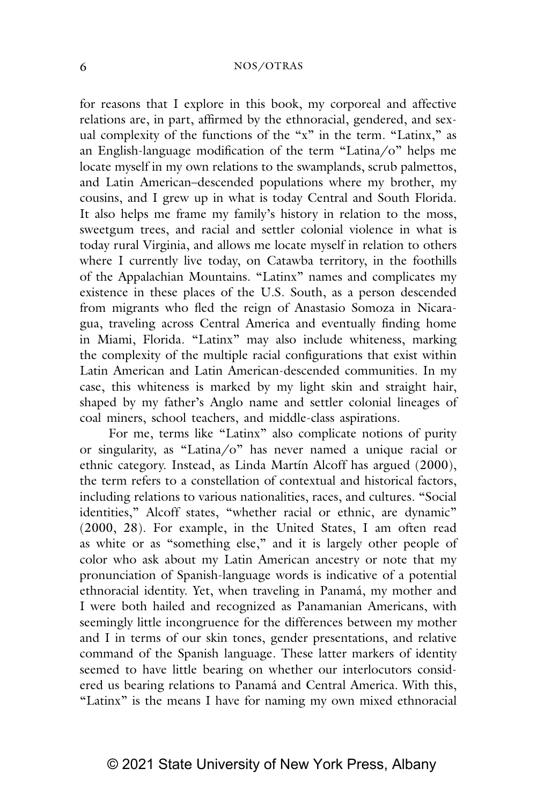# 6 NOS/OTRAS

for reasons that I explore in this book, my corporeal and affective relations are, in part, affirmed by the ethnoracial, gendered, and sexual complexity of the functions of the "x" in the term. "Latinx," as an English-language modification of the term "Latina/o" helps me locate myself in my own relations to the swamplands, scrub palmettos, and Latin American–descended populations where my brother, my cousins, and I grew up in what is today Central and South Florida. It also helps me frame my family's history in relation to the moss, sweetgum trees, and racial and settler colonial violence in what is today rural Virginia, and allows me locate myself in relation to others where I currently live today, on Catawba territory, in the foothills of the Appalachian Mountains. "Latinx" names and complicates my existence in these places of the U.S. South, as a person descended from migrants who fled the reign of Anastasio Somoza in Nicaragua, traveling across Central America and eventually finding home in Miami, Florida. "Latinx" may also include whiteness, marking the complexity of the multiple racial configurations that exist within Latin American and Latin American-descended communities. In my case, this whiteness is marked by my light skin and straight hair, shaped by my father's Anglo name and settler colonial lineages of coal miners, school teachers, and middle-class aspirations.

For me, terms like "Latinx" also complicate notions of purity or singularity, as "Latina/o" has never named a unique racial or ethnic category. Instead, as Linda Martín Alcoff has argued (2000), the term refers to a constellation of contextual and historical factors, including relations to various nationalities, races, and cultures. "Social identities," Alcoff states, "whether racial or ethnic, are dynamic" (2000, 28). For example, in the United States, I am often read as white or as "something else," and it is largely other people of color who ask about my Latin American ancestry or note that my pronunciation of Spanish-language words is indicative of a potential ethnoracial identity. Yet, when traveling in Panamá, my mother and I were both hailed and recognized as Panamanian Americans, with seemingly little incongruence for the differences between my mother and I in terms of our skin tones, gender presentations, and relative command of the Spanish language. These latter markers of identity seemed to have little bearing on whether our interlocutors considered us bearing relations to Panamá and Central America. With this, "Latinx" is the means I have for naming my own mixed ethnoracial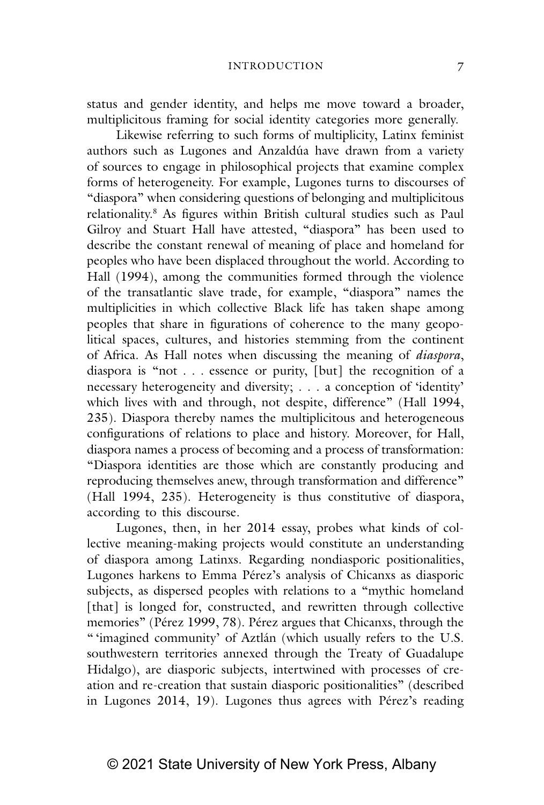status and gender identity, and helps me move toward a broader, multiplicitous framing for social identity categories more generally.

Likewise referring to such forms of multiplicity, Latinx feminist authors such as Lugones and Anzaldúa have drawn from a variety of sources to engage in philosophical projects that examine complex forms of heterogeneity. For example, Lugones turns to discourses of "diaspora" when considering questions of belonging and multiplicitous relationality.8 As figures within British cultural studies such as Paul Gilroy and Stuart Hall have attested, "diaspora" has been used to describe the constant renewal of meaning of place and homeland for peoples who have been displaced throughout the world. According to Hall (1994), among the communities formed through the violence of the transatlantic slave trade, for example, "diaspora" names the multiplicities in which collective Black life has taken shape among peoples that share in figurations of coherence to the many geopolitical spaces, cultures, and histories stemming from the continent of Africa. As Hall notes when discussing the meaning of *diaspora*, diaspora is "not . . . essence or purity, [but] the recognition of a necessary heterogeneity and diversity; . . . a conception of 'identity' which lives with and through, not despite, difference" (Hall 1994, 235). Diaspora thereby names the multiplicitous and heterogeneous configurations of relations to place and history. Moreover, for Hall, diaspora names a process of becoming and a process of transformation: "Diaspora identities are those which are constantly producing and reproducing themselves anew, through transformation and difference" (Hall 1994, 235). Heterogeneity is thus constitutive of diaspora, according to this discourse.

Lugones, then, in her 2014 essay, probes what kinds of collective meaning-making projects would constitute an understanding of diaspora among Latinxs. Regarding nondiasporic positionalities, Lugones harkens to Emma Pérez's analysis of Chicanxs as diasporic subjects, as dispersed peoples with relations to a "mythic homeland [that] is longed for, constructed, and rewritten through collective memories" (Pérez 1999, 78). Pérez argues that Chicanxs, through the " 'imagined community' of Aztlán (which usually refers to the U.S. southwestern territories annexed through the Treaty of Guadalupe Hidalgo), are diasporic subjects, intertwined with processes of creation and re-creation that sustain diasporic positionalities" (described in Lugones 2014, 19). Lugones thus agrees with Pérez's reading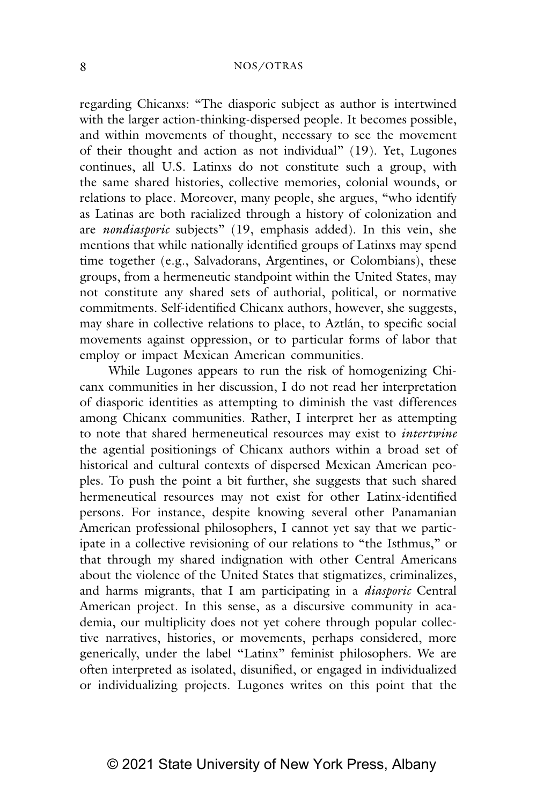# 8 NOS/OTRAS

regarding Chicanxs: "The diasporic subject as author is intertwined with the larger action-thinking-dispersed people. It becomes possible, and within movements of thought, necessary to see the movement of their thought and action as not individual" (19). Yet, Lugones continues, all U.S. Latinxs do not constitute such a group, with the same shared histories, collective memories, colonial wounds, or relations to place. Moreover, many people, she argues, "who identify as Latinas are both racialized through a history of colonization and are *nondiasporic* subjects" (19, emphasis added). In this vein, she mentions that while nationally identified groups of Latinxs may spend time together (e.g., Salvadorans, Argentines, or Colombians), these groups, from a hermeneutic standpoint within the United States, may not constitute any shared sets of authorial, political, or normative commitments. Self-identified Chicanx authors, however, she suggests, may share in collective relations to place, to Aztlán, to specific social movements against oppression, or to particular forms of labor that employ or impact Mexican American communities.

While Lugones appears to run the risk of homogenizing Chicanx communities in her discussion, I do not read her interpretation of diasporic identities as attempting to diminish the vast differences among Chicanx communities. Rather, I interpret her as attempting to note that shared hermeneutical resources may exist to *intertwine* the agential positionings of Chicanx authors within a broad set of historical and cultural contexts of dispersed Mexican American peoples. To push the point a bit further, she suggests that such shared hermeneutical resources may not exist for other Latinx-identified persons. For instance, despite knowing several other Panamanian American professional philosophers, I cannot yet say that we participate in a collective revisioning of our relations to "the Isthmus," or that through my shared indignation with other Central Americans about the violence of the United States that stigmatizes, criminalizes, and harms migrants, that I am participating in a *diasporic* Central American project. In this sense, as a discursive community in academia, our multiplicity does not yet cohere through popular collective narratives, histories, or movements, perhaps considered, more generically, under the label "Latinx" feminist philosophers. We are often interpreted as isolated, disunified, or engaged in individualized or individualizing projects. Lugones writes on this point that the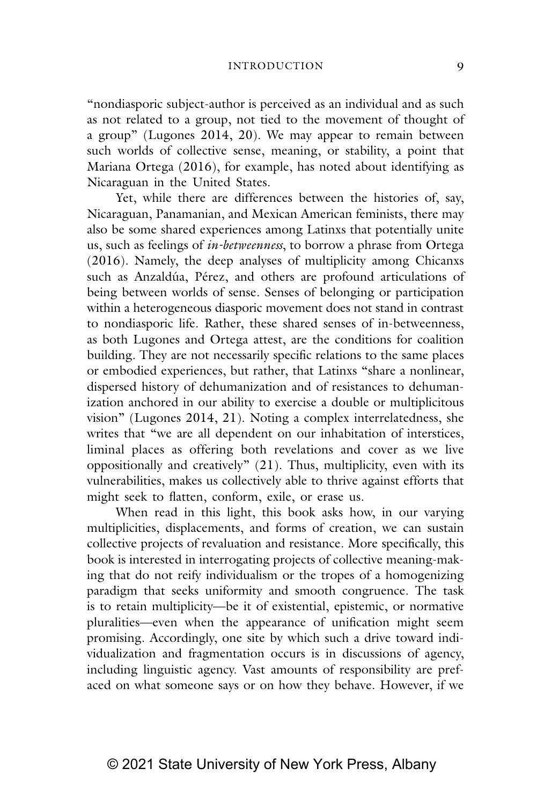"nondiasporic subject-author is perceived as an individual and as such as not related to a group, not tied to the movement of thought of a group" (Lugones 2014, 20). We may appear to remain between such worlds of collective sense, meaning, or stability, a point that Mariana Ortega (2016), for example, has noted about identifying as Nicaraguan in the United States.

Yet, while there are differences between the histories of, say, Nicaraguan, Panamanian, and Mexican American feminists, there may also be some shared experiences among Latinxs that potentially unite us, such as feelings of *in-betweenness*, to borrow a phrase from Ortega (2016)*.* Namely, the deep analyses of multiplicity among Chicanxs such as Anzaldúa, Pérez, and others are profound articulations of being between worlds of sense. Senses of belonging or participation within a heterogeneous diasporic movement does not stand in contrast to nondiasporic life. Rather, these shared senses of in-betweenness, as both Lugones and Ortega attest, are the conditions for coalition building. They are not necessarily specific relations to the same places or embodied experiences, but rather, that Latinxs "share a nonlinear, dispersed history of dehumanization and of resistances to dehumanization anchored in our ability to exercise a double or multiplicitous vision" (Lugones 2014, 21). Noting a complex interrelatedness, she writes that "we are all dependent on our inhabitation of interstices, liminal places as offering both revelations and cover as we live oppositionally and creatively" (21). Thus, multiplicity, even with its vulnerabilities, makes us collectively able to thrive against efforts that might seek to flatten, conform, exile, or erase us.

When read in this light, this book asks how, in our varying multiplicities, displacements, and forms of creation, we can sustain collective projects of revaluation and resistance. More specifically, this book is interested in interrogating projects of collective meaning-making that do not reify individualism or the tropes of a homogenizing paradigm that seeks uniformity and smooth congruence. The task is to retain multiplicity—be it of existential, epistemic, or normative pluralities—even when the appearance of unification might seem promising. Accordingly, one site by which such a drive toward individualization and fragmentation occurs is in discussions of agency, including linguistic agency. Vast amounts of responsibility are prefaced on what someone says or on how they behave. However, if we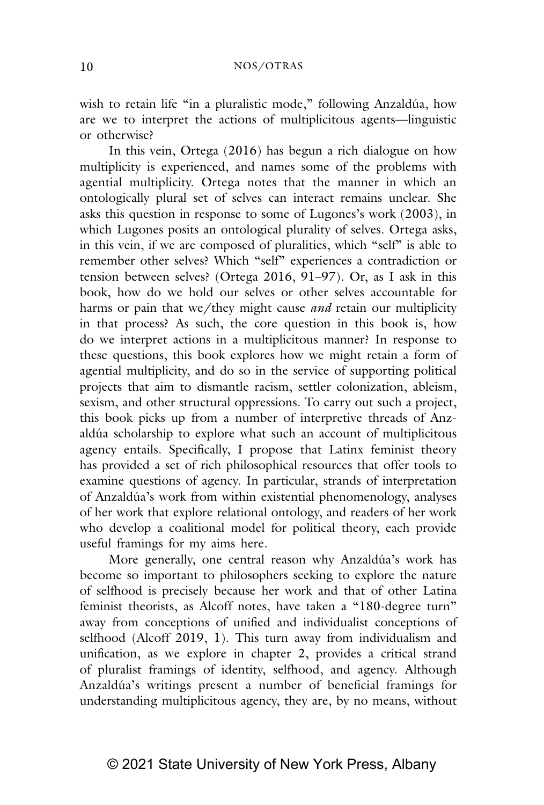wish to retain life "in a pluralistic mode," following Anzaldúa, how are we to interpret the actions of multiplicitous agents—linguistic or otherwise?

In this vein, Ortega (2016) has begun a rich dialogue on how multiplicity is experienced, and names some of the problems with agential multiplicity. Ortega notes that the manner in which an ontologically plural set of selves can interact remains unclear. She asks this question in response to some of Lugones's work (2003), in which Lugones posits an ontological plurality of selves. Ortega asks, in this vein, if we are composed of pluralities, which "self" is able to remember other selves? Which "self" experiences a contradiction or tension between selves? (Ortega 2016, 91–97). Or, as I ask in this book, how do we hold our selves or other selves accountable for harms or pain that we/they might cause *and* retain our multiplicity in that process? As such, the core question in this book is, how do we interpret actions in a multiplicitous manner? In response to these questions, this book explores how we might retain a form of agential multiplicity, and do so in the service of supporting political projects that aim to dismantle racism, settler colonization, ableism, sexism, and other structural oppressions. To carry out such a project, this book picks up from a number of interpretive threads of Anzaldúa scholarship to explore what such an account of multiplicitous agency entails. Specifically, I propose that Latinx feminist theory has provided a set of rich philosophical resources that offer tools to examine questions of agency. In particular, strands of interpretation of Anzaldúa's work from within existential phenomenology, analyses of her work that explore relational ontology, and readers of her work who develop a coalitional model for political theory, each provide useful framings for my aims here.

More generally, one central reason why Anzaldúa's work has become so important to philosophers seeking to explore the nature of selfhood is precisely because her work and that of other Latina feminist theorists, as Alcoff notes, have taken a "180-degree turn" away from conceptions of unified and individualist conceptions of selfhood (Alcoff 2019, 1). This turn away from individualism and unification, as we explore in chapter 2, provides a critical strand of pluralist framings of identity, selfhood, and agency. Although Anzaldúa's writings present a number of beneficial framings for understanding multiplicitous agency, they are, by no means, without